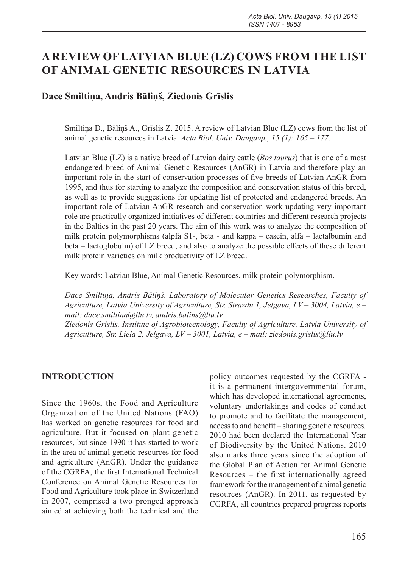# **A REVIEW OF LATVIAN BLUE (LZ) COWS FROM THE LIST OF ANIMAL GENETIC RESOURCES IN LATVIA**

#### **Dace Smiltiņa, Andris Bāliņš, Ziedonis Grīslis**

Smiltiņa D., Bāliņš A., Grīslis Z. 2015. A review of Latvian Blue (LZ) cows from the list of animal genetic resources in Latvia. *Acta Biol. Univ. Daugavp., 15 (1): 165 – 177.*

Latvian Blue (LZ) is a native breed of Latvian dairy cattle (*Bos taurus*) that is one of a most endangered breed of Animal Genetic Resources (AnGR) in Latvia and therefore play an important role in the start of conservation processes of five breeds of Latvian AnGR from 1995, and thus for starting to analyze the composition and conservation status of this breed, as well as to provide suggestions for updating list of protected and endangered breeds. An important role of Latvian AnGR research and conservation work updating very important role are practically organized initiatives of different countries and different research projects in the Baltics in the past 20 years. The aim of this work was to analyze the composition of milk protein polymorphisms (alpfa S1-, beta - and kappa – casein, alfa – lactalbumin and beta – lactoglobulin) of LZ breed, and also to analyze the possible effects of these different milk protein varieties on milk productivity of LZ breed.

Key words: Latvian Blue, Animal Genetic Resources, milk protein polymorphism.

*Dace Smiltiņa, Andris Bāliņš. Laboratory of Molecular Genetics Researches, Faculty of Agriculture, Latvia University of Agriculture, Str. Strazdu 1, Jelgava, LV – 3004, Latvia, e – mail: dace.smiltina@llu.lv, andris.balins@llu.lv*

*Ziedonis Grislis. Institute of Agrobiotecnology, Faculty of Agriculture, Latvia University of Agriculture, Str. Liela 2, Jelgava, LV – 3001, Latvia, e – mail: ziedonis.grislis@llu.lv*

#### **INTRODUCTION**

Since the 1960s, the Food and Agriculture Organization of the United Nations (FAO) has worked on genetic resources for food and agriculture. But it focused on plant genetic resources, but since 1990 it has started to work in the area of animal genetic resources for food and agriculture (AnGR). Under the guidance of the CGRFA, the first International Technical Conference on Animal Genetic Resources for Food and Agriculture took place in Switzerland in 2007, comprised a two pronged approach aimed at achieving both the technical and the

policy outcomes requested by the CGRFA it is a permanent intergovernmental forum, which has developed international agreements, voluntary undertakings and codes of conduct to promote and to facilitate the management, access to and benefit – sharing genetic resources. 2010 had been declared the International Year of Biodiversity by the United Nations. 2010 also marks three years since the adoption of the Global Plan of Action for Animal Genetic Resources – the first internationally agreed framework for the management of animal genetic resources (AnGR). In 2011, as requested by CGRFA, all countries prepared progress reports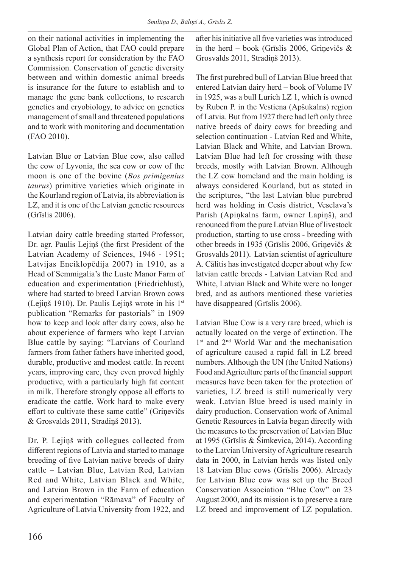on their national activities in implementing the Global Plan of Action, that FAO could prepare a synthesis report for consideration by the FAO Commission. Conservation of genetic diversity between and within domestic animal breeds is insurance for the future to establish and to manage the gene bank collections, to research genetics and cryobiology, to advice on genetics management of small and threatened populations and to work with monitoring and documentation (FAO 2010).

Latvian Blue or Latvian Blue cow, also called the cow of Lyvonia, the sea cow or cow of the moon is one of the bovine (*Bos primigenius taurus*) primitive varieties which originate in the Kourland region of Latvia, its abbreviation is LZ, and it is one of the Latvian genetic resources (Grīslis 2006).

Latvian dairy cattle breeding started Professor, Dr. agr. Paulis Lejiņš (the first President of the Latvian Academy of Sciences, 1946 - 1951; Latvijas Enciklopēdija 2007) in 1910, as a Head of Semmigalia's the Luste Manor Farm of education and experimentation (Friedrichlust), where had started to breed Latvian Brown cows (Lejiņš 1910). Dr. Paulis Lejiņš wrote in his 1st publication "Remarks for pastorials" in 1909 how to keep and look after dairy cows, also he about experience of farmers who kept Latvian Blue cattle by saying: "Latvians of Courland farmers from father fathers have inherited good, durable, productive and modest cattle. In recent years, improving care, they even proved highly productive, with a particularly high fat content in milk. Therefore strongly oppose all efforts to eradicate the cattle. Work hard to make every effort to cultivate these same cattle" (Griņevičs & Grosvalds 2011, Stradiņš 2013).

Dr. P. Lejiņš with collegues collected from different regions of Latvia and started to manage breeding of five Latvian native breeds of dairy cattle – Latvian Blue, Latvian Red, Latvian Red and White, Latvian Black and White, and Latvian Brown in the Farm of education and experimentation "Rāmava" of Faculty of Agriculture of Latvia University from 1922, and after his initiative all five varieties was introduced in the herd – book (Grīslis 2006, Griņevičs & Grosvalds 2011, Stradiņš 2013).

The first purebred bull of Latvian Blue breed that entered Latvian dairy herd – book of Volume IV in 1925, was a bull Lurich LZ 1, which is owned by Ruben P. in the Vestiena (Apšukalns) region of Latvia. But from 1927 there had left only three native breeds of dairy cows for breeding and selection continuation - Latvian Red and White, Latvian Black and White, and Latvian Brown. Latvian Blue had left for crossing with these breeds, mostly with Latvian Brown. Although the LZ cow homeland and the main holding is always considered Kourland, but as stated in the scriptures, "the last Latvian blue purebred herd was holding in Cesis district, Veselava's Parish (Apiņkalns farm, owner Lapiņš), and renounced from the pure Latvian Blue of livestock production, starting to use cross - breeding with other breeds in 1935 (Grīslis 2006, Griņevičs & Grosvalds 2011). Latvian scientist of agriculture A. Cālitis has investigated deeper about why few latvian cattle breeds - Latvian Latvian Red and White, Latvian Black and White were no longer bred, and as authors mentioned these varieties have disappeared (Grīslis 2006).

Latvian Blue Cow is a very rare breed, which is actually located on the verge of extinction. The 1<sup>st</sup> and 2<sup>nd</sup> World War and the mechanisation of agriculture caused a rapid fall in LZ breed numbers. Although the UN (the United Nations) Food and Agriculture parts of the financial support measures have been taken for the protection of varieties, LZ breed is still numerically very weak. Latvian Blue breed is used mainly in dairy production. Conservation work of Animal Genetic Resources in Latvia began directly with the measures to the preservation of Latvian Blue at 1995 (Grīslis & Šimkevica, 2014). According to the Latvian University of Agriculture research data in 2000, in Latvian herds was listed only 18 Latvian Blue cows (Grīslis 2006). Already for Latvian Blue cow was set up the Breed Conservation Association "Blue Cow" on 23 August 2000, and its mission is to preserve a rare LZ breed and improvement of LZ population.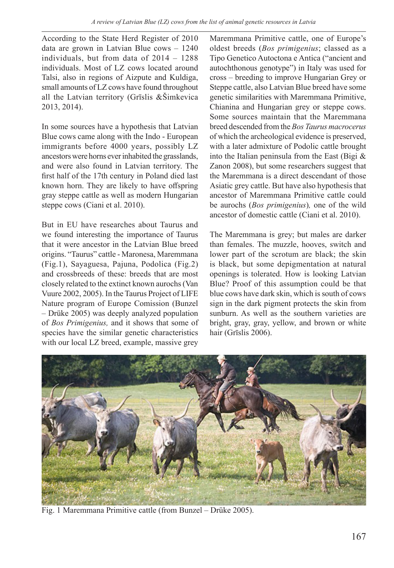According to the State Herd Register of 2010 data are grown in Latvian Blue cows – 1240 individuals, but from data of 2014 – 1288 individuals. Most of LZ cows located around Talsi, also in regions of Aizpute and Kuldiga, small amounts of LZ cows have found throughout all the Latvian territory (Grīslis &Šimkevica 2013, 2014).

In some sources have a hypothesis that Latvian Blue cows came along with the Indo - European immigrants before 4000 years, possibly LZ ancestors were horns everinhabited the grasslands, and were also found in Latvian territory. The first half of the 17th century in Poland died last known horn. They are likely to have offspring gray steppe cattle as well as modern Hungarian steppe cows (Ciani et al. 2010).

But in EU have researches about Taurus and we found interesting the importance of Taurus that it were ancestor in the Latvian Blue breed origins. "Taurus" cattle - Maronesa, Maremmana (Fig.1), Sayaguesa, Pajuna, Podolica (Fig.2) and crossbreeds of these: breeds that are most closely related to the extinct known aurochs (Van Vuure 2002, 2005). In the Taurus Project of LIFE Nature program of Europe Comission (Bunzel – Drüke 2005) was deeply analyzed population of *Bos Primigenius,* and it shows that some of species have the similar genetic characteristics with our local LZ breed, example, massive grey

Maremmana Primitive cattle, one of Europe's oldest breeds (*Bos primigenius*; classed as a Tipo Genetico Autoctona e Antica ("ancient and autochthonous genotype") in Italy was used for cross – breeding to improve Hungarian Grey or Steppe cattle, also Latvian Blue breed have some genetic similarities with Maremmana Primitive, Chianina and Hungarian grey or steppe cows. Some sources maintain that the Maremmana breed descended from the *Bos Taurus macrocerus* of which the archeological evidence is preserved, with a later admixture of Podolic cattle brought into the Italian peninsula from the East (Bigi & Zanon 2008), but some researchers suggest that the Maremmana is a direct descendant of those Asiatic grey cattle. But have also hypothesis that ancestor of Maremmana Primitive cattle could be aurochs (*Bos primigenius*)*,* one of the wild ancestor of domestic cattle (Ciani et al. 2010).

The Maremmana is grey; but males are darker than females. The muzzle, hooves, switch and lower part of the scrotum are black; the skin is black, but some depigmentation at natural openings is tolerated. How is looking Latvian Blue? Proof of this assumption could be that blue cows have dark skin, which is south of cows sign in the dark pigment protects the skin from sunburn. As well as the southern varieties are bright, gray, gray, yellow, and brown or white hair (Grīslis 2006).



Fig. 1 Maremmana Primitive cattle (from Bunzel – Drüke 2005).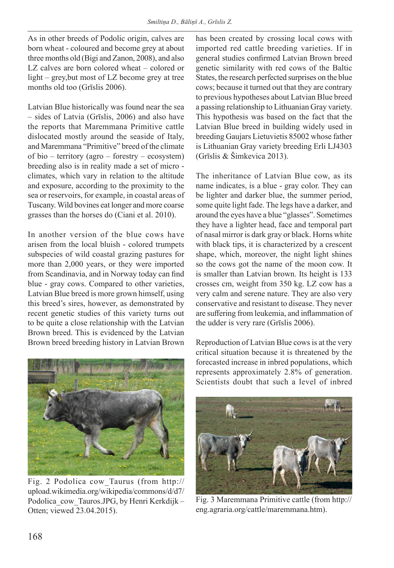As in other breeds of Podolic origin, calves are born wheat - coloured and become grey at about three months old (Bigi and Zanon, 2008), and also LZ calves are born colored wheat – colored or light – grey,but most of LZ become grey at tree months old too (Grīslis 2006).

Latvian Blue historically was found near the sea – sides of Latvia (Grīslis, 2006) and also have the reports that Maremmana Primitive cattle dislocated mostly around the seaside of Italy, and Maremmana "Primitive" breed of the climate of bio – territory (agro – forestry – ecosystem) breeding also is in reality made a set of micro climates, which vary in relation to the altitude and exposure, according to the proximity to the sea or reservoirs, for example, in coastal areas of Tuscany. Wild bovines eat longer and more coarse grasses than the horses do (Ciani et al. 2010).

In another version of the blue cows have arisen from the local bluish - colored trumpets subspecies of wild coastal grazing pastures for more than 2,000 years, or they were imported from Scandinavia, and in Norway today can find blue - gray cows. Compared to other varieties, Latvian Blue breed is more grown himself, using this breed's sires, however, as demonstrated by recent genetic studies of this variety turns out to be quite a close relationship with the Latvian Brown breed. This is evidenced by the Latvian Brown breed breeding history in Latvian Brown has been created by crossing local cows with imported red cattle breeding varieties. If in general studies confirmed Latvian Brown breed genetic similarity with red cows of the Baltic States, the research perfected surprises on the blue cows; because it turned out that they are contrary to previous hypotheses about Latvian Blue breed a passing relationship to Lithuanian Gray variety. This hypothesis was based on the fact that the Latvian Blue breed in building widely used in breeding Gaujars Lietuvietis 85002 whose father is Lithuanian Gray variety breeding Erli LJ4303 (Grīslis & Šimkevica 2013).

The inheritance of Latvian Blue cow, as its name indicates, is a blue - gray color. They can be lighter and darker blue, the summer period, some quite light fade. The legs have a darker, and around the eyes have a blue "glasses". Sometimes they have a lighter head, face and temporal part of nasal mirror is dark gray or black. Horns white with black tips, it is characterized by a crescent shape, which, moreover, the night light shines so the cows got the name of the moon cow. It is smaller than Latvian brown. Its height is 133 crosses cm, weight from 350 kg. LZ cow has a very calm and serene nature. They are also very conservative and resistant to disease. They never are suffering from leukemia, and inflammation of the udder is very rare (Grīslis 2006).



Fig. 2 Podolica cow\_Taurus (from http:// upload.wikimedia.org/wikipedia/commons/d/d7/ Podolica cow Tauros.JPG, by Henri Kerkdijk – Otten; viewed 23.04.2015).

Reproduction of Latvian Blue cows is at the very critical situation because it is threatened by the forecasted increase in inbred populations, which represents approximately 2.8% of generation. Scientists doubt that such a level of inbred



Fig. 3 Maremmana Primitive cattle (from http:// eng.agraria.org/cattle/maremmana.htm).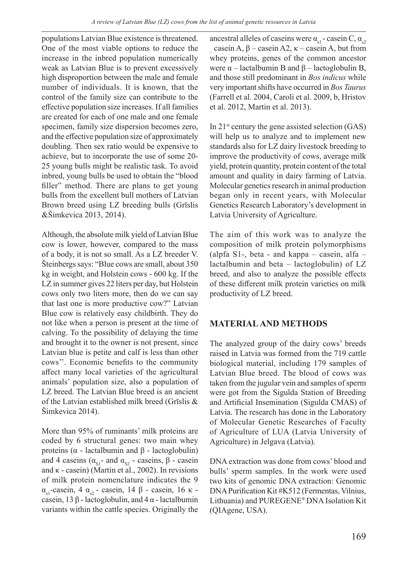populations Latvian Blue existence is threatened. One of the most viable options to reduce the increase in the inbred population numerically weak as Latvian Blue is to prevent excessively high disproportion between the male and female number of individuals. It is known, that the control of the family size can contribute to the effective population size increases. If all families are created for each of one male and one female specimen, family size dispersion becomes zero, and the effective population size of approximately doubling. Then sex ratio would be expensive to achieve, but to incorporate the use of some 20- 25 young bulls might be realistic task. To avoid inbred, young bulls be used to obtain the "blood filler" method. There are plans to get young bulls from the excellent bull mothers of Latvian Brown breed using LZ breeding bulls (Grīslis &Šimkevica 2013, 2014).

Although, the absolute milk yield of Latvian Blue cow is lower, however, compared to the mass of a body, it is not so small. As a LZ breeder V. Šteinbergs says: "Blue cows are small, about 350 kg in weight, and Holstein cows - 600 kg. If the LZ in summer gives 22 liters per day, but Holstein cows only two liters more, then do we can say that last one is more productive cow?" Latvian Blue cow is relatively easy childbirth. They do not like when a person is present at the time of calving. To the possibility of delaying the time and brought it to the owner is not present, since Latvian blue is petite and calf is less than other cows''. Economic benefits to the community affect many local varieties of the agricultural animals' population size, also a population of LZ breed. The Latvian Blue breed is an ancient of the Latvian established milk breed (Grīslis & Šimkevica 2014).

More than 95% of ruminants' milk proteins are coded by 6 structural genes: two main whey proteins ( $α$  - lactalbumin and  $β$  - lactoglobulin) and 4 caseins ( $\alpha_{s1}$ - and  $\alpha_{s2}$  - caseins,  $\beta$  - casein and κ - casein) (Martin et al., 2002). In revisions of milk protein nomenclature indicates the 9  $α<sub>s1</sub>$ -casein, 4  $α<sub>s2</sub>$  - casein, 14 β - casein, 16 κ casein, 13 β - lactoglobulin, and 4 α - lactalbumin variants within the cattle species. Originally the

ancestral alleles of caseins were  $\alpha_{s1}$  - casein C,  $\alpha_{s2}$ – whey proteins, genes of the common ancestor casein A, β – casein A2, κ – casein A, but from were  $α$  – lactalbumin B and  $β$  – lactoglobulin B, and those still predominant in *Bos indicus* while very important shifts have occurred in *Bos Taurus* (Farrell et al. 2004, Caroli et al. 2009, b, Hristov et al. 2012, Martin et al. 2013).

In  $21^{st}$  century the gene assisted selection (GAS) will help us to analyze and to implement new standards also for LZ dairy livestock breeding to improve the productivity of cows, average milk yield, protein quantity, protein content of the total amount and quality in dairy farming of Latvia. Molecular genetics research in animal production began only in recent years, with Molecular Genetics Research Laboratory's development in Latvia University of Agriculture.

The aim of this work was to analyze the composition of milk protein polymorphisms (alpfa S1-, beta - and kappa – casein, alfa – lactalbumin and beta – lactoglobulin) of LZ breed, and also to analyze the possible effects of these different milk protein varieties on milk productivity of LZ breed.

### **MATERIAL AND METHODS**

The analyzed group of the dairy cows' breeds raised in Latvia was formed from the 719 cattle biological material, including 179 samples of Latvian Blue breed. The blood of cows was taken from the jugular vein and samples of sperm were got from the Sigulda Station of Breeding and Artificial Insemination (Sigulda CMAS) of Latvia. The research has done in the Laboratory of Molecular Genetic Researches of Faculty of Agriculture of LUA (Latvia University of Agriculture) in Jelgava (Latvia).

DNA extraction was done from cows' blood and bulls' sperm samples. In the work were used two kits of genomic DNA extraction: Genomic DNA Purification Kit #K512 (Fermentas, Vilnius, Lithuania) and PUREGENE® DNA Isolation Kit (QIAgene, USA).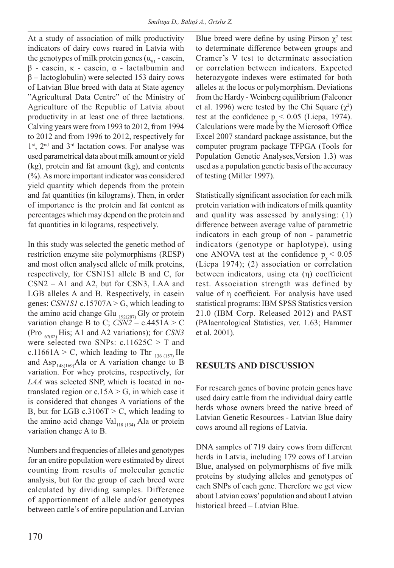At a study of association of milk productivity indicators of dairy cows reared in Latvia with the genotypes of milk protein genes ( $\alpha_{\rm SI}$  - casein, β - casein, κ - casein, α - lactalbumin and  $β$  – lactoglobulin) were selected 153 dairy cows of Latvian Blue breed with data at State agency "Agricultural Data Centre" of the Ministry of Agriculture of the Republic of Latvia about productivity in at least one of three lactations. Calving years were from 1993 to 2012, from 1994 to 2012 and from 1996 to 2012, respectively for 1st, 2<sup>nd</sup> and 3<sup>rd</sup> lactation cows. For analyse was used parametrical data about milk amount or yield (kg), protein and fat amount (kg), and contents (%). As more important indicator was considered yield quantity which depends from the protein and fat quantities (in kilograms). Then, in order of importance is the protein and fat content as percentages which may depend on the protein and fat quantities in kilograms, respectively.

In this study was selected the genetic method of restriction enzyme site polymorphisms (RESP) and most often analysed allele of milk proteins, respectively, for CSN1S1 allele B and C, for CSN2 – A1 and A2, but for CSN3, LAA and LGB alleles A and B. Respectively, in casein genes: C*SN1S1* c.15707A > G, which leading to the amino acid change Glu  $_{192(207)}$  Gly or protein variation change B to C;  $CSN2 - c.4451A > C$ (Pro 67(82) His; A1 and A2 variations); for *CSN3*  were selected two SNPs: c.11625C > T and c.11661A > C, which leading to Thr  $_{136(157)}$  Ile and Asp<sub>148(169)</sub>Ala or A variation change to B variation. For whey proteins, respectively, for *LAA* was selected SNP, which is located in notranslated region or  $c.15A > G$ , in which case it is considered that changes A variations of the B, but for LGB c.3106T > C, which leading to the amino acid change Val $_{118(134)}$  Ala or protein variation change A to B.

Numbers and frequencies of alleles and genotypes for an entire population were estimated by direct counting from results of molecular genetic analysis, but for the group of each breed were calculated by dividing samples. Difference of apportionment of allele and/or genotypes between cattle's of entire population and Latvian

Blue breed were define by using Pirson  $\chi^2$  test to determinate difference between groups and Cramer's V test to determinate association or correlation between indicators. Expected heterozygote indexes were estimated for both alleles at the locus or polymorphism. Deviations from the Hardy -Weinberg equilibrium **(**Falconer et al. 1996) were tested by the Chi Square  $(\chi^2)$ test at the confidence  $p_{y}$  < 0.05 (Liepa, 1974). Calculations were made by the Microsoft Office Excel 2007 standard package assistance, but the computer program package TFPGA (Tools for Population Genetic Analyses,Version 1.3) was used as a population genetic basis of the accuracy of testing (Miller 1997).

Statistically significant association for each milk protein variation with indicators of milk quantity and quality was assessed by analysing: (1) difference between average value of parametric indicators in each group of non - parametric indicators (genotype or haplotype), using one ANOVA test at the confidence  $p_{y}$  < 0.05 (Liepa 1974); (2) association or correlation between indicators, using eta (η) coefficient test. Association strength was defined by value of η coefficient. For analysis have used statistical programs: IBM SPSS Statistics version 21.0 (IBM Corp. Released 2012) and PAST (PAlaentological Statistics, ver. 1.63; Hammer et al. 2001).

### **RESULTS AND DISCUSSION**

For research genes of bovine protein genes have used dairy cattle from the individual dairy cattle herds whose owners breed the native breed of Latvian Genetic Resources - Latvian Blue dairy cows around all regions of Latvia.

DNA samples of 719 dairy cows from different herds in Latvia, including 179 cows of Latvian Blue, analysed on polymorphisms of five milk proteins by studying alleles and genotypes of each SNPs of each gene. Therefore we get view about Latvian cows' population and about Latvian historical breed – Latvian Blue.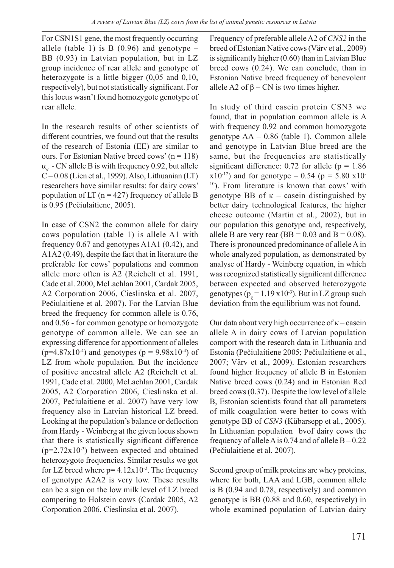For CSN1S1 gene, the most frequently occurring allele (table 1) is B  $(0.96)$  and genotype – BB (0.93) in Latvian population, but in LZ group incidence of rear allele and genotype of heterozygote is a little bigger (0,05 and 0,10, respectively), but not statistically significant. For this locus wasn't found homozygote genotype of rear allele.

In the research results of other scientists of different countries, we found out that the results of the research of Estonia (EE) are similar to ours. For Estonian Native breed cows'  $(n = 118)$  $\alpha_{\rm sl}$  - CN allele B is with frequency 0.92, but allele C – 0.08 (Lien et al., 1999). Also, Lithuanian (LT) researchers have similar results: for dairy cows' population of LT ( $n = 427$ ) frequency of allele B is 0.95 (Pečiulaitiene, 2005).

In case of CSN2 the common allele for dairy cows population (table 1) is allele A1 with frequency 0.67 and genotypes A1A1 (0.42), and A1A2 (0.49), despite the fact that in literature the preferable for cows' populations and common allele more often is A2 (Reichelt et al. 1991, Cade et al. 2000, McLachlan 2001, Cardak 2005, A2 Corporation 2006, Cieslinska et al. 2007, Pečiulaitiene et al. 2007). For the Latvian Blue breed the frequency for common allele is 0.76, and 0.56 - for common genotype or homozygote genotype of common allele. We can see an expressing difference for apportionment of alleles  $(p=4.87x10^{-4})$  and genotypes  $(p = 9.98x10^{-4})$  of LZ from whole population. But the incidence of positive ancestral allele A2 (Reichelt et al. 1991, Cade et al. 2000, McLachlan 2001, Cardak 2005, A2 Corporation 2006, Cieslinska et al. 2007, Pečiulaitiene et al. 2007) have very low frequency also in Latvian historical LZ breed. Looking at the population's balance or deflection from Hardy - Weinberg at the given locus shown that there is statistically significant difference  $(p=2.72x10^{-3})$  between expected and obtained heterozygote frequencies. Similar results we got for LZ breed where  $p=4.12x10^{-2}$ . The frequency of genotype A2A2 is very low. These results can be a sign on the low milk level of LZ breed compering to Holstein cows (Cardak 2005, A2 Corporation 2006, Cieslinska et al. 2007).

Frequency of preferable allele A2 of *CNS2* in the breed of Estonian Native cows (Värv et al., 2009) is significantly higher (0.60) than in Latvian Blue breed cows (0.24). We can conclude, than in Estonian Native breed frequency of benevolent allele A2 of  $\beta$  – CN is two times higher.

In study of third casein protein CSN3 we found, that in population common allele is A with frequency 0.92 and common homozygote genotype AA – 0.86 (table 1). Common allele and genotype in Latvian Blue breed are the same, but the frequencies are statistically significant difference: 0.72 for allele ( $p = 1.86$ )  $x10^{-12}$ ) and for genotype – 0.54 (p = 5.80 x10-10). From literature is known that cows' with genotype BB of  $\kappa$  – casein distinguished by better dairy technological features, the higher cheese outcome (Martin et al., 2002), but in our population this genotype and, respectively, allele B are very rear (BB =  $0.03$  and B =  $0.08$ ). There is pronounced predominance of allele A in whole analyzed population, as demonstrated by analyse of Hardy - Weinberg equation, in which was recognized statistically significant difference between expected and observed heterozygote genotypes ( $p_y = 1.19 \times 10^{-3}$ ). But in LZ group such deviation from the equilibrium was not found.

Our data about very high occurrence of  $\kappa$  – casein allele A in dairy cows of Latvian population comport with the research data in Lithuania and Estonia (Pečiulaitiene 2005; Pečiulaitiene et al., 2007; Värv et al., 2009). Estonian researchers found higher frequency of allele B in Estonian Native breed cows (0.24) and in Estonian Red breed cows (0.37). Despite the low level of allele B, Estonian scientists found that all parameters of milk coagulation were better to cows with genotype BB of *CSN3* (Kübarsepp et al., 2005). In Lithuanian population bvof dairy cows the frequency of allele A is  $0.74$  and of allele  $B - 0.22$ (Pečiulaitiene et al. 2007).

Second group of milk proteins are whey proteins, where for both, LAA and LGB, common allele is B (0.94 and 0.78, respectively) and common genotype is BB (0.88 and 0.60, respectively) in whole examined population of Latvian dairy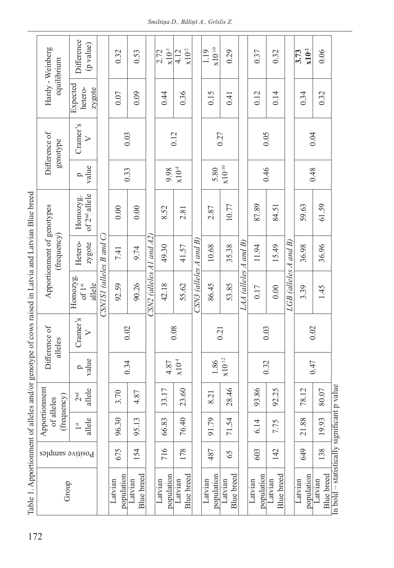| Hardy - Weinberg<br>equilibrium            | Difference<br>(p value)               |                          | 0.32                  | 0.53                  |                            | $\times 10^{-3}$<br>2.72 | $x10^{-2}$<br>4.12           |                          | $\underline{x}10^{-10}$<br>1.19           | 0.29                         |                       | 0.37                  | 0.32                  |                         | $x10^{-2}$<br>3.73      | 0.06                         |
|--------------------------------------------|---------------------------------------|--------------------------|-----------------------|-----------------------|----------------------------|--------------------------|------------------------------|--------------------------|-------------------------------------------|------------------------------|-----------------------|-----------------------|-----------------------|-------------------------|-------------------------|------------------------------|
|                                            | Expected<br>hetero-<br>zygote         |                          | 0.07                  | 0.09                  | 0.44                       | 0.36                     |                              | 0.15                     | 0.41                                      |                              | 0.12                  | 0.14                  |                       | 0.34                    | 0.32                    |                              |
| Difference of<br>genotype                  | Cramer's<br>$\triangleright$          |                          | 0.03                  |                       |                            | 0.12                     |                              |                          | 0.27                                      |                              |                       | 0.05                  |                       |                         | 0.04                    |                              |
|                                            | value<br>ρ                            |                          |                       | 0.33                  | $CSN2$ (alleles A1 and A2) | 9.98                     | $\times 10^4$                |                          | $\boldsymbol{\mathrm{x}}10^{-10}$<br>5.80 |                              |                       | 0.46                  |                       |                         |                         | 0.48                         |
| Apportionment of genotypes<br>(frequency)  | of 2 <sup>nd</sup> allele<br>Homozyg. |                          | 0.00                  | 0.00                  |                            | 8.52                     | 2.81                         | $CSN3$ (alleles A and B) | 2.87                                      | 10.77                        |                       | 87.89                 | 84.51                 | $LGB$ (alleles A and B) | 59.63                   | 61.59                        |
|                                            | Hetero-<br>zygote                     |                          | 7.41                  | 9.74                  |                            | 49.30                    | 41.57                        |                          | 10.68                                     | 35.38                        |                       | 11.94                 | 15.49                 |                         | 36.98                   | 36.96                        |
|                                            | Homozyg.<br>allele<br>of $1^{\rm st}$ | CSNISI (alleles B and C) | 92.59                 | 90.26                 |                            | 42.18                    | 55.62                        |                          | 86.45                                     | 53.85                        | LAA (alleles A and B) | 0.17                  | 0.00                  |                         | 3.39                    | 1.45                         |
| Difference of<br>alleles                   | Cramer's<br>$\triangleright$          |                          | 0.02                  |                       |                            |                          | 0.08                         |                          | 0.21                                      |                              |                       | 0.03                  |                       |                         | 0.02                    |                              |
|                                            | value<br>p                            |                          |                       | 0.34                  |                            | 4.87                     | $\times 10^4$                |                          | $\mathbf{x} 10^{-12}$<br>$1.86\,$         |                              |                       |                       | 0.32                  |                         | 0.47                    |                              |
| Apportionment<br>(frequency)<br>of alleles | allele<br>$2^{\rm nd}$                |                          | 3.70                  | 4.87                  |                            | 33.17                    | 23.60                        |                          | 8.21                                      | 97.8<br>$\sim$               |                       | 93.86                 | 92.25                 |                         | 18.12<br>$\overline{ }$ | 80.07                        |
|                                            | allele<br>1 <sup>st</sup>             |                          | 96.30                 | 95.13                 |                            | 66.83                    | 76.40                        |                          | 91.79                                     | 71.54                        |                       | 6.14                  | 7.75                  |                         | 21.88                   | 19.93                        |
| Positive samples                           |                                       |                          | 675                   | 154                   | 716                        | 178                      |                              | 487                      | 65                                        |                              | 603                   | 142                   |                       | 649                     | 138                     |                              |
| Group                                      |                                       |                          | population<br>Latvian | Blue breed<br>Latvian |                            | population<br>Latvian    | <b>Blue</b> breed<br>Latvian |                          | population<br>Latvian                     | <b>Blue</b> breed<br>Latvian |                       | population<br>Latvian | Blue breed<br>Latvian |                         | population<br>Latvian   | <b>Blue</b> breed<br>Latvian |

and I atvian Blue breed icad in I attrio į  $\ddot{\cdot}$ J  $\sim$ d/ $\sim$  $\alpha$ f allales F  $Table 1$  App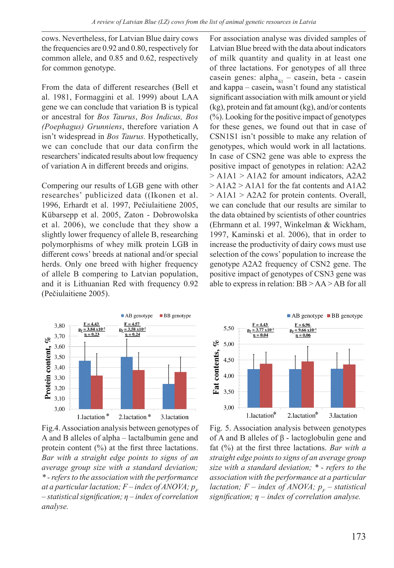cows. Nevertheless, for Latvian Blue dairy cows the frequencies are 0.92 and 0.80, respectively for common allele, and 0.85 and 0.62, respectively for common genotype.

From the data of different researches (Bell et al. 1981, Formaggini et al. 1999) about LAA gene we can conclude that variation B is typical or ancestral for *Bos Taurus*, *Bos Indicus, Bos (Poephagus) Grunniens*, therefore variation A isn't widespread in *Bos Taurus.* Hypothetically, we can conclude that our data confirm the researchers' indicated results about low frequency of variation A in different breeds and origins.

Compering our results of LGB gene with other researches' publicized data ((Ikonen et al. 1996, Erhardt et al. 1997, Pečiulaitiene 2005, Kübarsepp et al. 2005, Zaton - Dobrowolska et al. 2006), we conclude that they show a slightly lower frequency of allele B, researching polymorphisms of whey milk protein LGB in different cows' breeds at national and/or special herds. Only one breed with higher frequency of allele B compering to Latvian population, and it is Lithuanian Red with frequency 0.92 (Pečiulaitiene 2005).

For association analyse was divided samples of Latvian Blue breed with the data about indicators of milk quantity and quality in at least one of three lactations. For genotypes of all three casein genes:  $alpha_{S1}$  – casein, beta - casein and kappa – casein**,** wasn't found any statistical significant association with milk amount or yield (kg), protein and fat amount (kg), and/or contents (%). Looking for the positive impact of genotypes for these genes, we found out that in case of CSN1S1 isn't possible to make any relation of genotypes, which would work in all lactations. In case of CSN2 gene was able to express the positive impact of genotypes in relation: A2A2 > A1A1 > A1A2 for amount indicators, A2A2  $> A1A2 > A1A1$  for the fat contents and  $A1A2$ > A1A1 > A2A2 for protein contents. Overall, we can conclude that our results are similar to the data obtained by scientists of other countries (Ehrmann et al. 1997, Winkelman & Wickham, 1997, Kaminski et al. 2006), that in order to increase the productivity of dairy cows must use selection of the cows' population to increase the genotype A2A2 frequency of CSN2 gene. The positive impact of genotypes of CSN3 gene was able to express in relation: BB > AA > AB for all



Fig.4. Association analysis between genotypes of A and B alleles of alpha – lactalbumin gene and protein content (%) at the first three lactations. *Bar with a straight edge points to signs of an average group size with a standard deviation; \* - refers to the association with the performance at a particular lactation;*  $F$  – *index of ANOVA;*  $p<sub>F</sub>$ *– statistical signification; η – index of correlation analyse.*



Fig. 5. Association analysis between genotypes of A and B alleles of β - lactoglobulin gene and fat (%) at the first three lactations. *Bar with a straight edge points to signs of an average group size with a standard deviation; \* - refers to the association with the performance at a particular lactation;*  $F$  – *index of ANOVA;*  $p<sub>F</sub>$  – *statistical signification; η – index of correlation analyse.*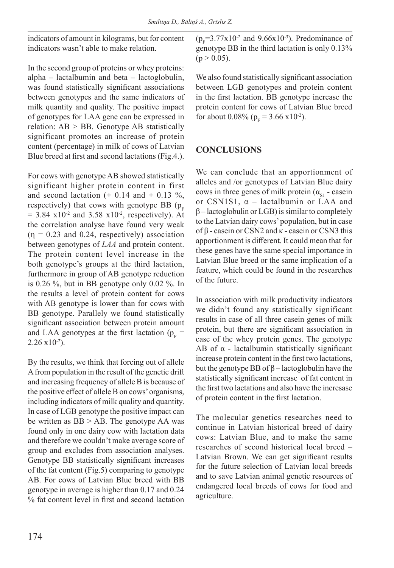indicators of amount in kilograms, but for content indicators wasn't able to make relation.

In the second group of proteins or whey proteins: alpha – lactalbumin and beta – lactoglobulin, was found statistically significant associations between genotypes and the same indicators of milk quantity and quality. The positive impact of genotypes for LAA gene can be expressed in relation: AB > BB. Genotype AB statistically significant promotes an increase of protein content (percentage) in milk of cows of Latvian Blue breed at first and second lactations (Fig.4.).

For cows with genotype AB showed statistically significant higher protein content in first and second lactation  $(+ 0.14$  and  $+ 0.13$  %, respectively) that cows with genotype BB ( $p_F$  $= 3.84 \text{ x}10^{-2}$  and  $3.58 \text{ x}10^{-2}$ , respectively). At the correlation analyse have found very weak  $(\eta = 0.23$  and 0.24, respectively) association between genotypes of *LAA* and protein content. The protein content level increase in the both genotype's groups at the third lactation, furthermore in group of AB genotype reduction is 0.26 %, but in BB genotype only 0.02 %. In the results a level of protein content for cows with AB genotype is lower than for cows with BB genotype. Parallely we found statistically significant association between protein amount and LAA genotypes at the first lactation ( $p_F$  =  $2.26 \times 10^{-2}$ ).

By the results, we think that forcing out of allele A from population in the result of the genetic drift and increasing frequency of allele B is because of the positive effect of allele B on cows' organisms, including indicators of milk quality and quantity. In case of LGB genotype the positive impact can be written as BB > AB. The genotype AA was found only in one dairy cow with lactation data and therefore we couldn't make average score of group and excludes from association analyses. Genotype BB statistically significant increases of the fat content (Fig.5) comparing to genotype AB. For cows of Latvian Blue breed with BB genotype in average is higher than 0.17 and 0.24 % fat content level in first and second lactation

 $(p_F=3.77 \times 10^{-2} \text{ and } 9.66 \times 10^{-3})$ . Predominance of genotype BB in the third lactation is only 0.13%  $(p > 0.05)$ .

We also found statistically significant association between LGB genotypes and protein content in the first lactation. BB genotype increase the protein content for cows of Latvian Blue breed for about 0.08% ( $p_F$  = 3.66 x10<sup>-2</sup>).

# **CONCLUSIONS**

We can conclude that an apportionment of alleles and /or genotypes of Latvian Blue dairy cows in three genes of milk protein  $(\alpha_{s_1}$  - casein or CSN1S1,  $\alpha$  – lactalbumin or LAA and  $\beta$  – lactoglobulin or LGB) is similar to completely to the Latvian dairy cows' population, but in case of β - casein or CSN2 and κ - casein or CSN3 this apportionment is different. It could mean that for these genes have the same special importance in Latvian Blue breed or the same implication of a feature, which could be found in the researches of the future.

In association with milk productivity indicators we didn't found any statistically significant results in case of all three casein genes of milk protein, but there are significant association in case of the whey protein genes. The genotype AB of  $\alpha$  - lactalbumin statistically significant increase protein content in the first two lactations, but the genotype BB of β – lactoglobulin have the statistically significant increase of fat content in the first two lactations and also have the incresase of protein content in the first lactation.

The molecular genetics researches need to continue in Latvian historical breed of dairy cows: Latvian Blue, and to make the same researches of second historical local breed – Latvian Brown. We can get significant results for the future selection of Latvian local breeds and to save Latvian animal genetic resources of endangered local breeds of cows for food and agriculture.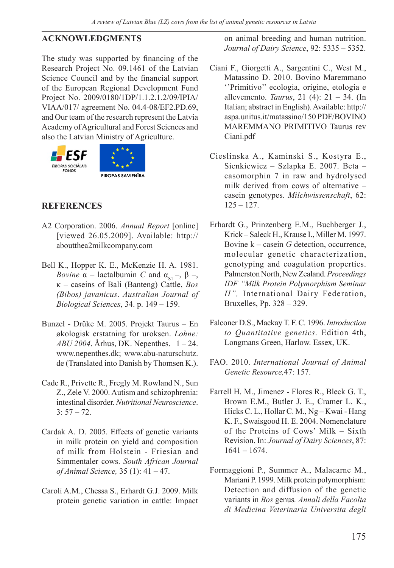#### **ACKNOWLEDGMENTS**

The study was supported by financing of the Research Project No. 09.1461 of the Latvian Science Council and by the financial support of the European Regional Development Fund Project No. 2009/0180/1DP/1.1.2.1.2/09/IPIA/ VIAA/017/ agreement No. 04.4-08/EF2.PD.69, and Our team of the research represent the Latvia Academy of Agricultural and Forest Sciences and also the Latvian Ministry of Agriculture.



## **REFERENCES**

- A2 Corporation. 2006. *Annual Report* [online] [viewed 26.05.2009]. Available: http:// aboutthea2milkcompany.com
- Bell K., Hopper K. E., McKenzie H. A. 1981. *Bovine*  $\alpha$  – lactalbumin *C* and  $\alpha_{s_1}$  –,  $\beta$  –, κ – caseins of Bali (Banteng) Cattle, *Bos (Bibos) javanicus*. *Australian Journal of Biological Sciences*, 34. p. 149 – 159.
- Bunzel Drüke M. 2005. Projekt Taurus En økologisk erstatning for uroksen. *Lohne: ABU 2004*. Århus, DK. Nepenthes. 1 – 24. www.nepenthes.dk; www.abu-naturschutz. de (Translated into Danish by Thomsen K.).
- Cade R., Privette R., Fregly M. Rowland N., Sun Z., Zele V. 2000. Autism and schizophrenia: intestinal disorder. *Nutritional Neuroscience*.  $3: 57 - 72.$
- Cardak A. D. 2005. Effects of genetic variants in milk protein on yield and composition of milk from Holstein - Friesian and Simmentaler cows. *South African Journal of Animal Science,* 35 (1): 41 – 47.
- Caroli A.M., Chessa S., Erhardt G.J. 2009. Milk protein genetic variation in cattle: Impact

on animal breeding and human nutrition. *Journal of Dairy Science*, 92: 5335 – 5352.

- Ciani F., Giorgetti A., Sargentini C., West M., Matassino D. 2010. Bovino Maremmano ''Primitivo'' ecologia, origine, etologia e allevemento. *Taurus*, 21 (4): 21 – 34. (In Italian; abstract in English). Available: http:// aspa.unitus.it/matassino/150 PDF/BOVINO MAREMMANO PRIMITIVO Taurus rev Ciani.pdf
- Cieslinska A., Kaminski S., Kostyra E., Sienkiewicz – Szlapka E. 2007. Beta – casomorphin 7 in raw and hydrolysed milk derived from cows of alternative – casein genotypes. *Milchwissenschaft*, 62:  $125 - 127$ .
- Erhardt G., Prinzenberg E.M., Buchberger J., Krick – Saleck H., Krause I., Miller M. 1997. Bovine k – casein *G* detection, occurrence, molecular genetic characterization, genotyping and coagulation properties. Palmerston North, New Zealand. *Proceedings IDF "Milk Protein Polymorphism Seminar II",* International Dairy Federation, Bruxelles, Pp. 328 – 329.
- Falconer D.S., Mackay T. F. C. 1996. *Introduction to Quantitative genetics.* Edition 4th, Longmans Green, Harlow. Essex, UK.
- FAO. 2010. *International Journal of Animal Genetic Resource,*47: 157.
- Farrell H. M., Jimenez Flores R., Bleck G. T., Brown E.M., Butler J. E., Cramer L. K., Hicks C. L., Hollar C. M., Ng – Kwai - Hang K. F., Swaisgood H. E. 2004. Nomenclature of the Proteins of Cows' Milk – Sixth Revision. In: *Journal of Dairy Sciences*, 87: 1641 – 1674.
- Formaggioni P., Summer A., Malacarne M., Mariani P. 1999. Milk protein polymorphism: Detection and diffusion of the genetic variants in *Bos* genus*. Annali della Facolta di Medicina Veterinaria Universita degli*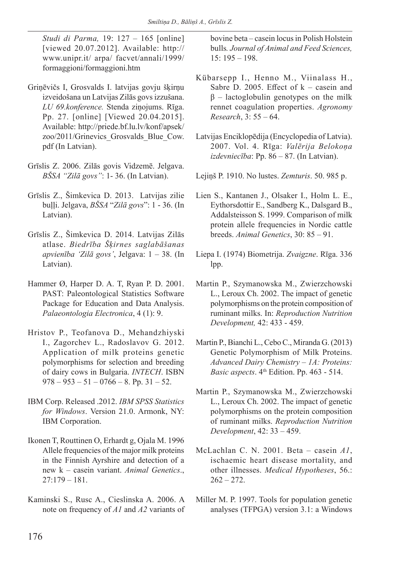*Studi di Parma,* 19: 127 – 165 [online] [viewed 20.07.2012]. Available: http:// www.unipr.it/ arpa/ facvet/annali/1999/ formaggioni/formaggioni.htm

- Griņēvičs I, Grosvalds I. latvijas govju šķirņu izveidošana un Latvijas Zilās govs izzušana. *LU 69.konference.* Stenda ziņojums. Rīga. Pp. 27. [online] [Viewed 20.04.2015]. Available: http://priede.bf.lu.lv/konf/apsek/ zoo/2011/Grinevics\_Grosvalds\_Blue\_Cow. pdf (In Latvian).
- Grīslis Z. 2006. Zilās govis Vidzemē. Jelgava. *BŠSA "Zilā govs"*: 1- 36. (In Latvian).
- Grīslis Z., Šimkevica D. 2013. Latvijas zilie buļļi. Jelgava, *BŠSA* "*Zilā govs*": 1 - 36. (In Latvian).
- Grīslis Z., Šimkevica D. 2014. Latvijas Zilās atlase. *Biedrība Šķirnes saglabāšanas apvienība 'Zilā govs'*, Jelgava: 1 – 38. (In Latvian).
- Hammer Ø, Harper D. A. T, Ryan P. D. 2001. PAST: Paleontological Statistics Software Package for Education and Data Analysis. *Palaeontologia Electronica*, 4 (1): 9.
- Hristov P., Teofanova D., Mehandzhiyski I., Zagorchev L., Radoslavov G. 2012. Application of milk proteins genetic polymorphisms for selection and breeding of dairy cows in Bulgaria. *INTECH*. ISBN  $978 - 953 - 51 - 0766 - 8$ . Pp. 31 - 52.
- IBM Corp. Released .2012. *IBM SPSS Statistics for Windows*. Version 21.0. Armonk, NY: IBM Corporation.
- Ikonen T, Routtinen O, Erhardt g, Ojala M. 1996 Allele frequencies of the major milk proteins in the Finnish Ayrshire and detection of a new k – casein variant. *Animal Genetics*., 27:179 – 181.
- Kaminski S., Rusc A., Cieslinska A. 2006. A note on frequency of *A1* and *A2* variants of

bovine beta – casein locus in Polish Holstein bulls*. Journal of Animal and Feed Sciences,* 15: 195 – 198.

- Kübarsepp I., Henno M., Viinalass H., Sabre D. 2005. Effect of  $k -$  casein and  $β$  – lactoglobulin genotypes on the milk rennet coagulation properties. *Agronomy Research*, 3: 55 – 64.
- Latvijas Enciklopēdija (Encyclopedia of Latvia). 2007. Vol. 4. Rīga: *Valērija Belokoņa izdevniecība*: Pp. 86 – 87. (In Latvian).
- Lejiņš P. 1910. No lustes. *Zemturis*. 50. 985 p.
- Lien S., Kantanen J., Olsaker I., Holm L. E., Eythorsdottir E., Sandberg K., Dalsgard B., Addalsteisson S. 1999. Comparison of milk protein allele frequencies in Nordic cattle breeds. *Animal Genetics*, 30: 85 – 91.
- Liepa I. (1974) Biometrija. *Zvaigzne*. Rīga. 336 lpp.
- Martin P., Szymanowska M., Zwierzchowski L., Leroux Ch. 2002. The impact of genetic polymorphisms on the protein composition of ruminant milks. In: *Reproduction Nutrition Development,* 42: 433 - 459.
- Martin P., Bianchi L., Cebo C., Miranda G. (2013) Genetic Polymorphism of Milk Proteins. *Advanced Dairy Chemistry – 1A: Proteins: Basic aspects*.  $4<sup>th</sup>$  Edition. Pp. 463 - 514.
- Martin P., Szymanowska M., Zwierzchowski L., Leroux Ch. 2002. The impact of genetic polymorphisms on the protein composition of ruminant milks. *Reproduction Nutrition Development*, 42: 33 – 459.
- McLachlan C. N. 2001. Beta casein *A1*, ischaemic heart disease mortality, and other illnesses. *Medical Hypotheses*, 56.:  $262 - 272.$
- Miller M. P. 1997. Tools for population genetic analyses (TFPGA) version 3.1: a Windows